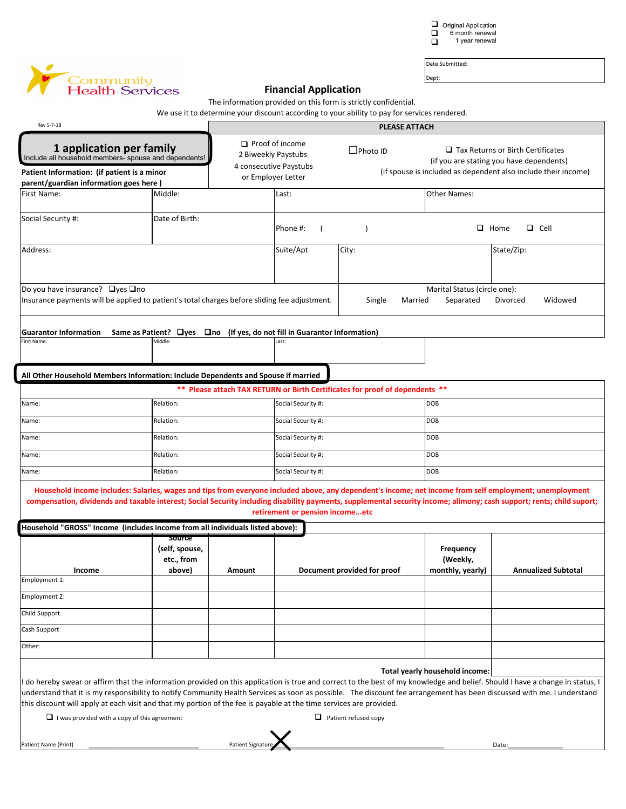Original Application 6 month renewal 1 year renewal  $\Box$  $\Box$  $\Box$ 



Date Submitted: Dept:

| <b>Health Services</b>                                                                                                                                                                                                                                                                                                                                                                                                                                                                                                                |                                                                                                                  |                  | <b>Financial Application</b>                                                                  |                                                                                                                                                                 |                                           |                            |  |  |
|---------------------------------------------------------------------------------------------------------------------------------------------------------------------------------------------------------------------------------------------------------------------------------------------------------------------------------------------------------------------------------------------------------------------------------------------------------------------------------------------------------------------------------------|------------------------------------------------------------------------------------------------------------------|------------------|-----------------------------------------------------------------------------------------------|-----------------------------------------------------------------------------------------------------------------------------------------------------------------|-------------------------------------------|----------------------------|--|--|
|                                                                                                                                                                                                                                                                                                                                                                                                                                                                                                                                       |                                                                                                                  |                  |                                                                                               | The information provided on this form is strictly confidential.<br>We use it to determine your discount according to your ability to pay for services rendered. |                                           |                            |  |  |
| Rev 5-7-18                                                                                                                                                                                                                                                                                                                                                                                                                                                                                                                            | <b>PLEASE ATTACH</b>                                                                                             |                  |                                                                                               |                                                                                                                                                                 |                                           |                            |  |  |
| 1 application per family<br>Include all household members- spouse and dependents!<br>Patient Information: (if patient is a minor                                                                                                                                                                                                                                                                                                                                                                                                      | $\Box$ Proof of income<br>$\Box$ Photo ID<br>2 Biweekly Paystubs<br>4 consecutive Paystubs<br>or Employer Letter |                  |                                                                                               | $\Box$ Tax Returns or Birth Certificates<br>(if you are stating you have dependents)<br>(if spouse is included as dependent also include their income)          |                                           |                            |  |  |
| parent/guardian information goes here)                                                                                                                                                                                                                                                                                                                                                                                                                                                                                                |                                                                                                                  |                  |                                                                                               |                                                                                                                                                                 |                                           |                            |  |  |
| First Name:                                                                                                                                                                                                                                                                                                                                                                                                                                                                                                                           | Middle:                                                                                                          |                  | Last:                                                                                         |                                                                                                                                                                 | <b>Other Names:</b>                       |                            |  |  |
| Social Security #:                                                                                                                                                                                                                                                                                                                                                                                                                                                                                                                    | Date of Birth:                                                                                                   |                  | Phone #:                                                                                      |                                                                                                                                                                 | $\Box$ Home<br>$\Box$ Cell                |                            |  |  |
| Address:                                                                                                                                                                                                                                                                                                                                                                                                                                                                                                                              |                                                                                                                  |                  | Suite/Apt                                                                                     | City:                                                                                                                                                           |                                           | State/Zip:                 |  |  |
| Do you have insurance? □ yes □ no<br>Insurance payments will be applied to patient's total charges before sliding fee adjustment.                                                                                                                                                                                                                                                                                                                                                                                                     |                                                                                                                  |                  |                                                                                               | Married<br>Single                                                                                                                                               | Marital Status (circle one):<br>Separated | Widowed<br>Divorced        |  |  |
| <b>Guarantor Information</b><br>First Name:                                                                                                                                                                                                                                                                                                                                                                                                                                                                                           | Middle:                                                                                                          |                  | Same as Patient? $\Box$ yes $\Box$ no (If yes, do not fill in Guarantor Information)<br>.ast: |                                                                                                                                                                 |                                           |                            |  |  |
| All Other Household Members Information: Include Dependents and Spouse if married                                                                                                                                                                                                                                                                                                                                                                                                                                                     | **                                                                                                               |                  |                                                                                               | Please attach TAX RETURN or Birth Certificates for proof of dependents **                                                                                       |                                           |                            |  |  |
| Name:                                                                                                                                                                                                                                                                                                                                                                                                                                                                                                                                 | Relation:                                                                                                        |                  | Social Security #:                                                                            |                                                                                                                                                                 | DOB                                       |                            |  |  |
| Name:                                                                                                                                                                                                                                                                                                                                                                                                                                                                                                                                 | Relation:                                                                                                        |                  | Social Security #:                                                                            |                                                                                                                                                                 | DOB                                       |                            |  |  |
| Name:                                                                                                                                                                                                                                                                                                                                                                                                                                                                                                                                 | Relation:                                                                                                        |                  | Social Security #:                                                                            |                                                                                                                                                                 | DOB                                       |                            |  |  |
| Name:                                                                                                                                                                                                                                                                                                                                                                                                                                                                                                                                 | Relation:                                                                                                        |                  | Social Security #:                                                                            |                                                                                                                                                                 | DOB                                       |                            |  |  |
| Name:                                                                                                                                                                                                                                                                                                                                                                                                                                                                                                                                 | Relation:                                                                                                        |                  | Social Security #:                                                                            |                                                                                                                                                                 | <b>DOB</b>                                |                            |  |  |
| Household income includes: Salaries, wages and tips from everyone included above, any dependent's income; net income from self employment; unemployment<br>compensation, dividends and taxable interest; Social Security including disability payments, supplemental security income; alimony; cash support; rents; child suport;                                                                                                                                                                                                     |                                                                                                                  |                  | retirement or pension incomeetc                                                               |                                                                                                                                                                 |                                           |                            |  |  |
| Household "GROSS" Income  (includes income from all individuals listed above):                                                                                                                                                                                                                                                                                                                                                                                                                                                        |                                                                                                                  |                  |                                                                                               |                                                                                                                                                                 |                                           |                            |  |  |
| Income                                                                                                                                                                                                                                                                                                                                                                                                                                                                                                                                | source<br>(self, spouse,<br>etc., from<br>above)                                                                 | Amount           | Document provided for proof                                                                   |                                                                                                                                                                 | Frequency<br>(Weekly,<br>monthly, yearly) | <b>Annualized Subtotal</b> |  |  |
| Employment 1:                                                                                                                                                                                                                                                                                                                                                                                                                                                                                                                         |                                                                                                                  |                  |                                                                                               |                                                                                                                                                                 |                                           |                            |  |  |
| Employment 2:                                                                                                                                                                                                                                                                                                                                                                                                                                                                                                                         |                                                                                                                  |                  |                                                                                               |                                                                                                                                                                 |                                           |                            |  |  |
| Child Support                                                                                                                                                                                                                                                                                                                                                                                                                                                                                                                         |                                                                                                                  |                  |                                                                                               |                                                                                                                                                                 |                                           |                            |  |  |
| Cash Support                                                                                                                                                                                                                                                                                                                                                                                                                                                                                                                          |                                                                                                                  |                  |                                                                                               |                                                                                                                                                                 |                                           |                            |  |  |
| Other:                                                                                                                                                                                                                                                                                                                                                                                                                                                                                                                                |                                                                                                                  |                  |                                                                                               |                                                                                                                                                                 |                                           |                            |  |  |
| I do hereby swear or affirm that the information provided on this application is true and correct to the best of my knowledge and belief. Should I have a change in status, I<br>understand that it is my responsibility to notify Community Health Services as soon as possible. The discount fee arrangement has been discussed with me. I understand<br>this discount will apply at each visit and that my portion of the fee is payable at the time services are provided.<br>$\Box$ I was provided with a copy of this agreement |                                                                                                                  |                  |                                                                                               | $\Box$ Patient refused copy                                                                                                                                     | Total yearly household income:            |                            |  |  |
|                                                                                                                                                                                                                                                                                                                                                                                                                                                                                                                                       |                                                                                                                  |                  |                                                                                               |                                                                                                                                                                 |                                           |                            |  |  |
| Patient Name (Print)                                                                                                                                                                                                                                                                                                                                                                                                                                                                                                                  |                                                                                                                  | Patient Signatur |                                                                                               |                                                                                                                                                                 |                                           | Date:                      |  |  |